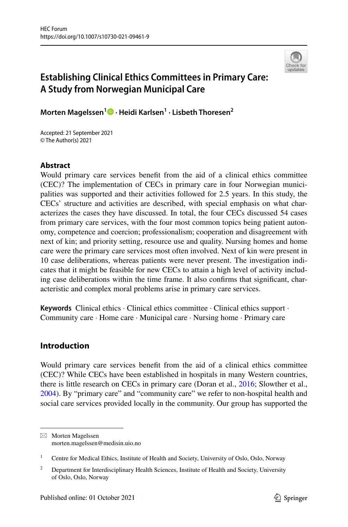

# **Establishing Clinical Ethics Committees in Primary Care: A Study from Norwegian Municipal Care**

**Morten Magelssen1  [·](http://orcid.org/0000-0002-5994-8029) Heidi Karlsen1 · Lisbeth Thoresen2**

Accepted: 21 September 2021 © The Author(s) 2021

# **Abstract**

Would primary care services beneft from the aid of a clinical ethics committee (CEC)? The implementation of CECs in primary care in four Norwegian municipalities was supported and their activities followed for 2.5 years. In this study, the CECs' structure and activities are described, with special emphasis on what characterizes the cases they have discussed. In total, the four CECs discussed 54 cases from primary care services, with the four most common topics being patient autonomy, competence and coercion; professionalism; cooperation and disagreement with next of kin; and priority setting, resource use and quality. Nursing homes and home care were the primary care services most often involved. Next of kin were present in 10 case deliberations, whereas patients were never present. The investigation indicates that it might be feasible for new CECs to attain a high level of activity including case deliberations within the time frame. It also confrms that signifcant, characteristic and complex moral problems arise in primary care services.

**Keywords** Clinical ethics · Clinical ethics committee · Clinical ethics support · Community care · Home care · Municipal care · Nursing home · Primary care

# **Introduction**

Would primary care services beneft from the aid of a clinical ethics committee (CEC)? While CECs have been established in hospitals in many Western countries, there is little research on CECs in primary care (Doran et al., [2016;](#page-12-0) Slowther et al., [2004](#page-13-0)). By "primary care" and "community care" we refer to non-hospital health and social care services provided locally in the community. Our group has supported the

 $\boxtimes$  Morten Magelssen morten.magelssen@medisin.uio.no

<sup>&</sup>lt;sup>1</sup> Centre for Medical Ethics, Institute of Health and Society, University of Oslo, Oslo, Norway

<sup>&</sup>lt;sup>2</sup> Department for Interdisciplinary Health Sciences, Institute of Health and Society, University of Oslo, Oslo, Norway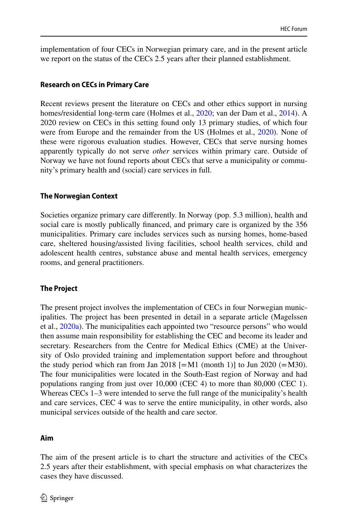implementation of four CECs in Norwegian primary care, and in the present article we report on the status of the CECs 2.5 years after their planned establishment.

#### **Research on CECs in Primary Care**

Recent reviews present the literature on CECs and other ethics support in nursing homes/residential long-term care (Holmes et al., [2020;](#page-12-1) van der Dam et al., [2014\)](#page-13-1). A 2020 review on CECs in this setting found only 13 primary studies, of which four were from Europe and the remainder from the US (Holmes et al., [2020\)](#page-12-1). None of these were rigorous evaluation studies. However, CECs that serve nursing homes apparently typically do not serve *other* services within primary care. Outside of Norway we have not found reports about CECs that serve a municipality or community's primary health and (social) care services in full.

### **The Norwegian Context**

Societies organize primary care diferently. In Norway (pop. 5.3 million), health and social care is mostly publically fnanced, and primary care is organized by the 356 municipalities. Primary care includes services such as nursing homes, home-based care, sheltered housing/assisted living facilities, school health services, child and adolescent health centres, substance abuse and mental health services, emergency rooms, and general practitioners.

### **The Project**

The present project involves the implementation of CECs in four Norwegian municipalities. The project has been presented in detail in a separate article (Magelssen et al., [2020a\)](#page-13-2). The municipalities each appointed two "resource persons" who would then assume main responsibility for establishing the CEC and become its leader and secretary. Researchers from the Centre for Medical Ethics (CME) at the University of Oslo provided training and implementation support before and throughout the study period which ran from Jan 2018  $[=M1 \pmod{1}$  to Jun 2020  $(=M30)$ . The four municipalities were located in the South-East region of Norway and had populations ranging from just over 10,000 (CEC 4) to more than 80,000 (CEC 1). Whereas CECs 1–3 were intended to serve the full range of the municipality's health and care services, CEC 4 was to serve the entire municipality, in other words, also municipal services outside of the health and care sector.

### **Aim**

The aim of the present article is to chart the structure and activities of the CECs 2.5 years after their establishment, with special emphasis on what characterizes the cases they have discussed.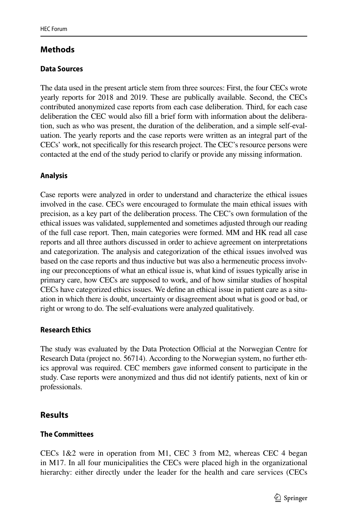# **Methods**

# **Data Sources**

The data used in the present article stem from three sources: First, the four CECs wrote yearly reports for 2018 and 2019. These are publically available. Second, the CECs contributed anonymized case reports from each case deliberation. Third, for each case deliberation the CEC would also fll a brief form with information about the deliberation, such as who was present, the duration of the deliberation, and a simple self-evaluation. The yearly reports and the case reports were written as an integral part of the CECs' work, not specifcally for this research project. The CEC's resource persons were contacted at the end of the study period to clarify or provide any missing information.

# **Analysis**

Case reports were analyzed in order to understand and characterize the ethical issues involved in the case. CECs were encouraged to formulate the main ethical issues with precision, as a key part of the deliberation process. The CEC's own formulation of the ethical issues was validated, supplemented and sometimes adjusted through our reading of the full case report. Then, main categories were formed. MM and HK read all case reports and all three authors discussed in order to achieve agreement on interpretations and categorization. The analysis and categorization of the ethical issues involved was based on the case reports and thus inductive but was also a hermeneutic process involving our preconceptions of what an ethical issue is, what kind of issues typically arise in primary care, how CECs are supposed to work, and of how similar studies of hospital CECs have categorized ethics issues. We defne an ethical issue in patient care as a situation in which there is doubt, uncertainty or disagreement about what is good or bad, or right or wrong to do. The self-evaluations were analyzed qualitatively.

### **Research Ethics**

The study was evaluated by the Data Protection Official at the Norwegian Centre for Research Data (project no. 56714). According to the Norwegian system, no further ethics approval was required. CEC members gave informed consent to participate in the study. Case reports were anonymized and thus did not identify patients, next of kin or professionals.

# **Results**

### **The Committees**

CECs 1&2 were in operation from M1, CEC 3 from M2, whereas CEC 4 began in M17. In all four municipalities the CECs were placed high in the organizational hierarchy: either directly under the leader for the health and care services (CECs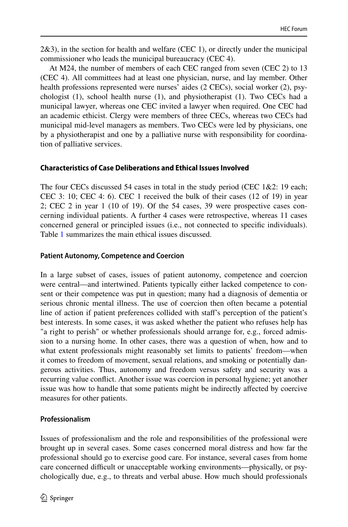2&3), in the section for health and welfare (CEC 1), or directly under the municipal commissioner who leads the municipal bureaucracy (CEC 4).

At M24, the number of members of each CEC ranged from seven (CEC 2) to 13 (CEC 4). All committees had at least one physician, nurse, and lay member. Other health professions represented were nurses' aides (2 CECs), social worker (2), psychologist (1), school health nurse (1), and physiotherapist (1). Two CECs had a municipal lawyer, whereas one CEC invited a lawyer when required. One CEC had an academic ethicist. Clergy were members of three CECs, whereas two CECs had municipal mid-level managers as members. Two CECs were led by physicians, one by a physiotherapist and one by a palliative nurse with responsibility for coordination of palliative services.

# **Characteristics of Case Deliberations and Ethical Issues Involved**

The four CECs discussed 54 cases in total in the study period (CEC 1&2: 19 each; CEC 3: 10; CEC 4: 6). CEC 1 received the bulk of their cases (12 of 19) in year 2; CEC 2 in year 1 (10 of 19). Of the 54 cases, 39 were prospective cases concerning individual patients. A further 4 cases were retrospective, whereas 11 cases concerned general or principled issues (i.e., not connected to specifc individuals). Table [1](#page-4-0) summarizes the main ethical issues discussed.

# **Patient Autonomy, Competence and Coercion**

In a large subset of cases, issues of patient autonomy, competence and coercion were central—and intertwined. Patients typically either lacked competence to consent or their competence was put in question; many had a diagnosis of dementia or serious chronic mental illness. The use of coercion then often became a potential line of action if patient preferences collided with staf's perception of the patient's best interests. In some cases, it was asked whether the patient who refuses help has "a right to perish" or whether professionals should arrange for, e.g., forced admission to a nursing home. In other cases, there was a question of when, how and to what extent professionals might reasonably set limits to patients' freedom—when it comes to freedom of movement, sexual relations, and smoking or potentially dangerous activities. Thus, autonomy and freedom versus safety and security was a recurring value confict. Another issue was coercion in personal hygiene; yet another issue was how to handle that some patients might be indirectly afected by coercive measures for other patients.

# **Professionalism**

Issues of professionalism and the role and responsibilities of the professional were brought up in several cases. Some cases concerned moral distress and how far the professional should go to exercise good care. For instance, several cases from home care concerned difficult or unacceptable working environments—physically, or psychologically due, e.g., to threats and verbal abuse. How much should professionals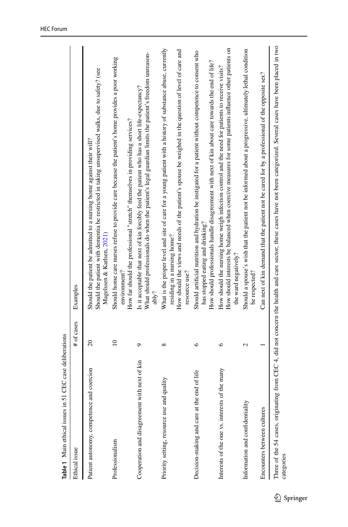<span id="page-4-0"></span>

| <b>21 CEC case dellocialions</b><br><b>Table 1 Main cultured issues in</b> |                   |                                                                                                                                                                                                                                                                      |
|----------------------------------------------------------------------------|-------------------|----------------------------------------------------------------------------------------------------------------------------------------------------------------------------------------------------------------------------------------------------------------------|
| Ethical issue                                                              | # of cases        | Examples                                                                                                                                                                                                                                                             |
| Patient autonomy, competence and coercion                                  | $\overline{20}$   | Should the patient with dementia be restricted in taking unsupervised walks, due to safety? (see<br>Should the patient be admitted to a nursing home against their will?<br>Magelssen & Karlsen, 2021)                                                               |
| Professionalism                                                            | $\overline{10}$   | Should home care nurses refuse to provide care because the patient's home provides a poor working<br>How far should the professional "stretch" themselves in providing services?<br>environment?                                                                     |
| with next of kin<br>Cooperation and disagreement                           | ٥                 | What should professionals do when the patient's legal guardian limits the patient's freedom unreason-<br>Is it acceptable that next of kin forcibly feed the patient who has a short life-expectancy?<br>ablv?                                                       |
| Priority setting, resource use and quality                                 | ∞                 | What is the proper level and site of care for a young patient with a history of substance abuse, currently<br>How should the views and needs of the patient's spouse be weighed in the question of level of care and<br>residing in a nursing home?<br>resource use? |
| Decision-making and care at the end of life                                | ७                 | Should artificial nutrition and hydration be instigated for a patient without competence to consent who<br>How should professionals handle disagreement with next of kin about care towards the end of life?<br>has stopped eating and drinking?                     |
| Interests of the one vs. interests of the many                             | ७                 | How should interests be balanced when coercive measures for some patients influence other patients on<br>How should the nursing home weigh infection control and the need for patients to receive visits?<br>the ward negatively?                                    |
| Information and confidentiality                                            | $\mathbf{\Omega}$ | Should a spouse's wish that the patient not be informed about a progressive, ultimately lethal condition<br>be respected?                                                                                                                                            |
| Encounters between cultures                                                |                   | Can next of kin demand that the patient not be cared for by a professional of the opposite sex?                                                                                                                                                                      |
| categories                                                                 |                   | Three of the 54 cases, originating from CEC 4, did not concern the health and care sector; these cases have not been categorized. Several cases have been placed in two                                                                                              |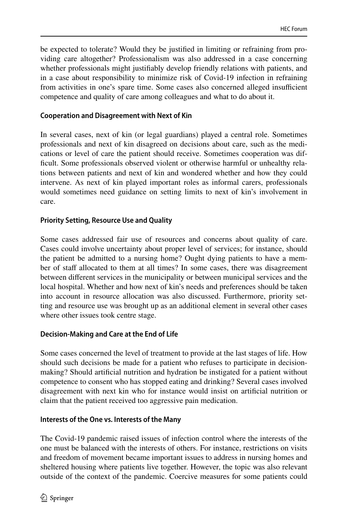be expected to tolerate? Would they be justifed in limiting or refraining from providing care altogether? Professionalism was also addressed in a case concerning whether professionals might justifably develop friendly relations with patients, and in a case about responsibility to minimize risk of Covid-19 infection in refraining from activities in one's spare time. Some cases also concerned alleged insufficient competence and quality of care among colleagues and what to do about it.

### **Cooperation and Disagreement with Next of Kin**

In several cases, next of kin (or legal guardians) played a central role. Sometimes professionals and next of kin disagreed on decisions about care, such as the medications or level of care the patient should receive. Sometimes cooperation was diffcult. Some professionals observed violent or otherwise harmful or unhealthy relations between patients and next of kin and wondered whether and how they could intervene. As next of kin played important roles as informal carers, professionals would sometimes need guidance on setting limits to next of kin's involvement in care.

#### **Priority Setting, Resource Use and Quality**

Some cases addressed fair use of resources and concerns about quality of care. Cases could involve uncertainty about proper level of services; for instance, should the patient be admitted to a nursing home? Ought dying patients to have a member of staf allocated to them at all times? In some cases, there was disagreement between diferent services in the municipality or between municipal services and the local hospital. Whether and how next of kin's needs and preferences should be taken into account in resource allocation was also discussed. Furthermore, priority setting and resource use was brought up as an additional element in several other cases where other issues took centre stage.

### **Decision‑Making and Care at the End of Life**

Some cases concerned the level of treatment to provide at the last stages of life. How should such decisions be made for a patient who refuses to participate in decisionmaking? Should artifcial nutrition and hydration be instigated for a patient without competence to consent who has stopped eating and drinking? Several cases involved disagreement with next kin who for instance would insist on artifcial nutrition or claim that the patient received too aggressive pain medication.

#### **Interests of the One vs. Interests of the Many**

The Covid-19 pandemic raised issues of infection control where the interests of the one must be balanced with the interests of others. For instance, restrictions on visits and freedom of movement became important issues to address in nursing homes and sheltered housing where patients live together. However, the topic was also relevant outside of the context of the pandemic. Coercive measures for some patients could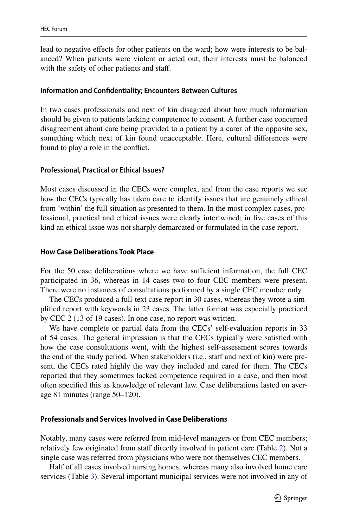lead to negative efects for other patients on the ward; how were interests to be balanced? When patients were violent or acted out, their interests must be balanced with the safety of other patients and staff.

#### **Information and Confdentiality; Encounters Between Cultures**

In two cases professionals and next of kin disagreed about how much information should be given to patients lacking competence to consent. A further case concerned disagreement about care being provided to a patient by a carer of the opposite sex, something which next of kin found unacceptable. Here, cultural diferences were found to play a role in the confict.

#### **Professional, Practical or Ethical Issues?**

Most cases discussed in the CECs were complex, and from the case reports we see how the CECs typically has taken care to identify issues that are genuinely ethical from 'within' the full situation as presented to them. In the most complex cases, professional, practical and ethical issues were clearly intertwined; in fve cases of this kind an ethical issue was not sharply demarcated or formulated in the case report.

#### **How Case Deliberations Took Place**

For the 50 case deliberations where we have sufficient information, the full CEC participated in 36, whereas in 14 cases two to four CEC members were present. There were no instances of consultations performed by a single CEC member only.

The CECs produced a full-text case report in 30 cases, whereas they wrote a simplifed report with keywords in 23 cases. The latter format was especially practiced by CEC 2 (13 of 19 cases). In one case, no report was written.

We have complete or partial data from the CECs' self-evaluation reports in 33 of 54 cases. The general impression is that the CECs typically were satisfed with how the case consultations went, with the highest self-assessment scores towards the end of the study period. When stakeholders (i.e., staff and next of kin) were present, the CECs rated highly the way they included and cared for them. The CECs reported that they sometimes lacked competence required in a case, and then most often specifed this as knowledge of relevant law. Case deliberations lasted on average 81 minutes (range 50–120).

#### **Professionals and Services Involved in Case Deliberations**

Notably, many cases were referred from mid-level managers or from CEC members; relatively few originated from staff directly involved in patient care (Table [2\)](#page-7-0). Not a single case was referred from physicians who were not themselves CEC members.

Half of all cases involved nursing homes, whereas many also involved home care services (Table [3](#page-7-1)). Several important municipal services were not involved in any of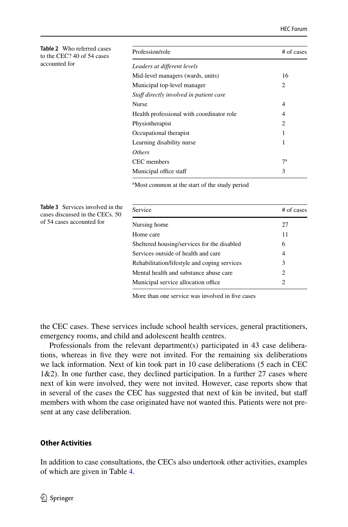<span id="page-7-0"></span>

| <b>Table 2</b> Who referred cases<br>to the CEC? 40 of 54 cases | Profession/role                                           | # of cases     |  |
|-----------------------------------------------------------------|-----------------------------------------------------------|----------------|--|
| accounted for                                                   | Leaders at different levels                               |                |  |
|                                                                 | Mid-level managers (wards, units)                         | 16             |  |
|                                                                 | Municipal top-level manager                               | 2              |  |
|                                                                 | Staff directly involved in patient care                   |                |  |
|                                                                 | Nurse                                                     | 4              |  |
|                                                                 | Health professional with coordinator role                 | 4              |  |
|                                                                 | Physiotherapist                                           | $\overline{c}$ |  |
|                                                                 | Occupational therapist                                    |                |  |
|                                                                 | Learning disability nurse                                 | 1              |  |
|                                                                 | <b>Others</b>                                             |                |  |
|                                                                 | CEC members                                               | $7^{\rm a}$    |  |
|                                                                 | Municipal office staff                                    | 3              |  |
|                                                                 | <sup>a</sup> Most common at the start of the study period |                |  |

<span id="page-7-1"></span>**Table 3** Services involved in the cases discussed in the CECs. 50 Service # of cases Nursing home 27 Home care 11 Sheltered housing/services for the disabled 6 Services outside of health and care 4 Rehabilitation/lifestyle and coping services 3 Mental health and substance abuse care 2 Municipal service allocation office 2

More than one service was involved in fve cases

the CEC cases. These services include school health services, general practitioners, emergency rooms, and child and adolescent health centres.

Professionals from the relevant department(s) participated in 43 case deliberations, whereas in five they were not invited. For the remaining six deliberations we lack information. Next of kin took part in 10 case deliberations (5 each in CEC 1&2). In one further case, they declined participation. In a further 27 cases where next of kin were involved, they were not invited. However, case reports show that in several of the cases the CEC has suggested that next of kin be invited, but staf members with whom the case originated have not wanted this. Patients were not present at any case deliberation.

#### **Other Activities**

of 54 cases accounted for

In addition to case consultations, the CECs also undertook other activities, examples of which are given in Table [4.](#page-9-0)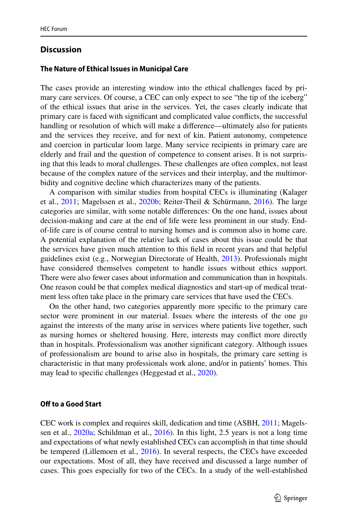# **Discussion**

#### **The Nature of Ethical Issues in Municipal Care**

The cases provide an interesting window into the ethical challenges faced by primary care services. Of course, a CEC can only expect to see "the tip of the iceberg" of the ethical issues that arise in the services. Yet, the cases clearly indicate that primary care is faced with signifcant and complicated value conficts, the successful handling or resolution of which will make a diference—ultimately also for patients and the services they receive, and for next of kin. Patient autonomy, competence and coercion in particular loom large. Many service recipients in primary care are elderly and frail and the question of competence to consent arises. It is not surprising that this leads to moral challenges. These challenges are often complex, not least because of the complex nature of the services and their interplay, and the multimorbidity and cognitive decline which characterizes many of the patients.

A comparison with similar studies from hospital CECs is illuminating (Kalager et al., [2011](#page-12-3); Magelssen et al., [2020b;](#page-13-3) Reiter-Theil & Schürmann, [2016](#page-13-4)). The large categories are similar, with some notable diferences: On the one hand, issues about decision-making and care at the end of life were less prominent in our study. Endof-life care is of course central to nursing homes and is common also in home care. A potential explanation of the relative lack of cases about this issue could be that the services have given much attention to this feld in recent years and that helpful guidelines exist (e.g., Norwegian Directorate of Health, [2013\)](#page-13-5). Professionals might have considered themselves competent to handle issues without ethics support. There were also fewer cases about information and communication than in hospitals. One reason could be that complex medical diagnostics and start-up of medical treatment less often take place in the primary care services that have used the CECs.

On the other hand, two categories apparently more specifc to the primary care sector were prominent in our material. Issues where the interests of the one go against the interests of the many arise in services where patients live together, such as nursing homes or sheltered housing. Here, interests may confict more directly than in hospitals. Professionalism was another signifcant category. Although issues of professionalism are bound to arise also in hospitals, the primary care setting is characteristic in that many professionals work alone, and/or in patients' homes. This may lead to specifc challenges (Heggestad et al., [2020\)](#page-12-4).

#### **Off to a Good Start**

CEC work is complex and requires skill, dedication and time (ASBH, [2011;](#page-12-5) Magelssen et al., [2020a;](#page-13-2) Schildman et al., [2016\)](#page-13-6). In this light, 2.5 years is not a long time and expectations of what newly established CECs can accomplish in that time should be tempered (Lillemoen et al., [2016\)](#page-12-6). In several respects, the CECs have exceeded our expectations. Most of all, they have received and discussed a large number of cases. This goes especially for two of the CECs. In a study of the well-established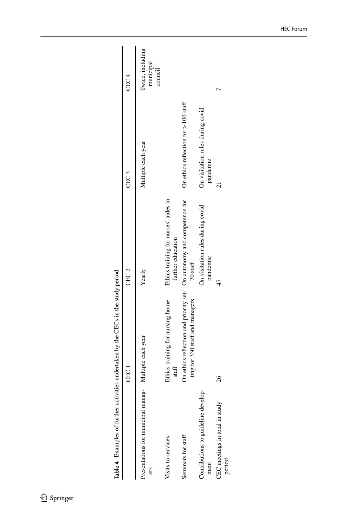<span id="page-9-0"></span>

|                                                              | Table 4 Examples of further activities undertaken by the CECs in the study period                        |                                                           |                                              |                                          |
|--------------------------------------------------------------|----------------------------------------------------------------------------------------------------------|-----------------------------------------------------------|----------------------------------------------|------------------------------------------|
|                                                              | CEC 1                                                                                                    | CEC <sub>2</sub>                                          | CEC 3                                        | CEC <sub>4</sub>                         |
| Presentations for municipal manag- Multiple each year<br>ers |                                                                                                          | Yearly                                                    | Multiple each year                           | Iwice, including<br>municipal<br>council |
| Visits to services                                           | Ethics training for nursing home<br>staff                                                                | Ethics training for nurses' aides in<br>further education |                                              |                                          |
| Seminars for staff                                           | On ethics reflection and priority set- On autonomy and competence for<br>ting for 330 staff and managers | $70$ staff                                                | On ethics reflection for > 100 staff         |                                          |
| Contributions to guideline develop-<br>ment                  |                                                                                                          | On visitation rules during covid<br>pandemic              | On visitation rules during covid<br>pandemic |                                          |
| CEC meetings in total in study<br>period                     | 26                                                                                                       | 47                                                        | ಸ                                            |                                          |
|                                                              |                                                                                                          |                                                           |                                              |                                          |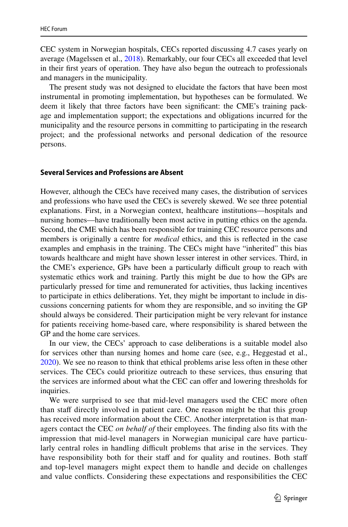CEC system in Norwegian hospitals, CECs reported discussing 4.7 cases yearly on average (Magelssen et al., [2018](#page-13-7)). Remarkably, our four CECs all exceeded that level in their frst years of operation. They have also begun the outreach to professionals and managers in the municipality.

The present study was not designed to elucidate the factors that have been most instrumental in promoting implementation, but hypotheses can be formulated. We deem it likely that three factors have been signifcant: the CME's training package and implementation support; the expectations and obligations incurred for the municipality and the resource persons in committing to participating in the research project; and the professional networks and personal dedication of the resource persons.

#### **Several Services and Professions are Absent**

However, although the CECs have received many cases, the distribution of services and professions who have used the CECs is severely skewed. We see three potential explanations. First, in a Norwegian context, healthcare institutions—hospitals and nursing homes—have traditionally been most active in putting ethics on the agenda. Second, the CME which has been responsible for training CEC resource persons and members is originally a centre for *medical* ethics, and this is refected in the case examples and emphasis in the training. The CECs might have "inherited" this bias towards healthcare and might have shown lesser interest in other services. Third, in the CME's experience, GPs have been a particularly difficult group to reach with systematic ethics work and training. Partly this might be due to how the GPs are particularly pressed for time and remunerated for activities, thus lacking incentives to participate in ethics deliberations. Yet, they might be important to include in discussions concerning patients for whom they are responsible, and so inviting the GP should always be considered. Their participation might be very relevant for instance for patients receiving home-based care, where responsibility is shared between the GP and the home care services.

In our view, the CECs' approach to case deliberations is a suitable model also for services other than nursing homes and home care (see, e.g., Heggestad et al., [2020](#page-12-4)). We see no reason to think that ethical problems arise less often in these other services. The CECs could prioritize outreach to these services, thus ensuring that the services are informed about what the CEC can ofer and lowering thresholds for inquiries.

We were surprised to see that mid-level managers used the CEC more often than staff directly involved in patient care. One reason might be that this group has received more information about the CEC. Another interpretation is that managers contact the CEC *on behalf of* their employees. The fnding also fts with the impression that mid-level managers in Norwegian municipal care have particularly central roles in handling difficult problems that arise in the services. They have responsibility both for their staff and for quality and routines. Both staff and top-level managers might expect them to handle and decide on challenges and value conficts. Considering these expectations and responsibilities the CEC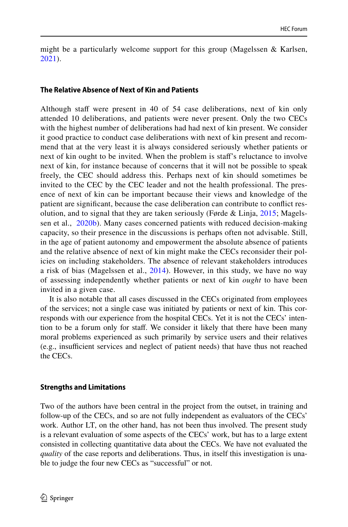might be a particularly welcome support for this group (Magelssen  $\&$  Karlsen, [2021\)](#page-12-2).

#### **The Relative Absence of Next of Kin and Patients**

Although staff were present in 40 of 54 case deliberations, next of kin only attended 10 deliberations, and patients were never present. Only the two CECs with the highest number of deliberations had had next of kin present. We consider it good practice to conduct case deliberations with next of kin present and recommend that at the very least it is always considered seriously whether patients or next of kin ought to be invited. When the problem is staf's reluctance to involve next of kin, for instance because of concerns that it will not be possible to speak freely, the CEC should address this. Perhaps next of kin should sometimes be invited to the CEC by the CEC leader and not the health professional. The presence of next of kin can be important because their views and knowledge of the patient are signifcant, because the case deliberation can contribute to confict resolution, and to signal that they are taken seriously (Førde & Linja, [2015](#page-12-7); Magelssen et al.,  [2020b](#page-13-3)). Many cases concerned patients with reduced decision-making capacity, so their presence in the discussions is perhaps often not advisable. Still, in the age of patient autonomy and empowerment the absolute absence of patients and the relative absence of next of kin might make the CECs reconsider their policies on including stakeholders. The absence of relevant stakeholders introduces a risk of bias (Magelssen et al., [2014\)](#page-12-8). However, in this study, we have no way of assessing independently whether patients or next of kin *ought* to have been invited in a given case.

It is also notable that all cases discussed in the CECs originated from employees of the services; not a single case was initiated by patients or next of kin. This corresponds with our experience from the hospital CECs. Yet it is not the CECs' intention to be a forum only for staf. We consider it likely that there have been many moral problems experienced as such primarily by service users and their relatives (e.g., insufcient services and neglect of patient needs) that have thus not reached the CECs.

### **Strengths and Limitations**

Two of the authors have been central in the project from the outset, in training and follow-up of the CECs, and so are not fully independent as evaluators of the CECs' work. Author LT, on the other hand, has not been thus involved. The present study is a relevant evaluation of some aspects of the CECs' work, but has to a large extent consisted in collecting quantitative data about the CECs. We have not evaluated the *quality* of the case reports and deliberations. Thus, in itself this investigation is unable to judge the four new CECs as "successful" or not.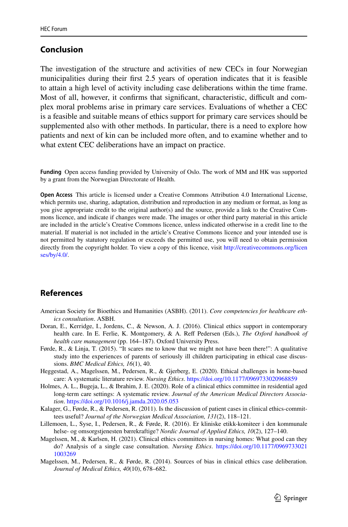# **Conclusion**

The investigation of the structure and activities of new CECs in four Norwegian municipalities during their frst 2.5 years of operation indicates that it is feasible to attain a high level of activity including case deliberations within the time frame. Most of all, however, it confirms that significant, characteristic, difficult and complex moral problems arise in primary care services. Evaluations of whether a CEC is a feasible and suitable means of ethics support for primary care services should be supplemented also with other methods. In particular, there is a need to explore how patients and next of kin can be included more often, and to examine whether and to what extent CEC deliberations have an impact on practice.

**Funding** Open access funding provided by University of Oslo. The work of MM and HK was supported by a grant from the Norwegian Directorate of Health.

**Open Access** This article is licensed under a Creative Commons Attribution 4.0 International License, which permits use, sharing, adaptation, distribution and reproduction in any medium or format, as long as you give appropriate credit to the original author(s) and the source, provide a link to the Creative Commons licence, and indicate if changes were made. The images or other third party material in this article are included in the article's Creative Commons licence, unless indicated otherwise in a credit line to the material. If material is not included in the article's Creative Commons licence and your intended use is not permitted by statutory regulation or exceeds the permitted use, you will need to obtain permission directly from the copyright holder. To view a copy of this licence, visit [http://creativecommons.org/licen](http://creativecommons.org/licenses/by/4.0/) [ses/by/4.0/](http://creativecommons.org/licenses/by/4.0/).

# **References**

- <span id="page-12-5"></span>American Society for Bioethics and Humanities (ASBH). (2011). *Core competencies for healthcare ethics consultation*. ASBH.
- <span id="page-12-0"></span>Doran, E., Kerridge, I., Jordens, C., & Newson, A. J. (2016). Clinical ethics support in contemporary health care. In E. Ferlie, K. Montgomery, & A. Reff Pedersen (Eds.), *The Oxford handbook of health care management* (pp. 164–187). Oxford University Press.
- <span id="page-12-7"></span>Førde, R., & Linja, T. (2015). "It scares me to know that we might not have been there!": A qualitative study into the experiences of parents of seriously ill children participating in ethical case discussions. *BMC Medical Ethics, 16*(1), 40.
- <span id="page-12-4"></span>Heggestad, A., Magelssen, M., Pedersen, R., & Gjerberg, E. (2020). Ethical challenges in home-based care: A systematic literature review. *Nursing Ethics*.<https://doi.org/10.1177/0969733020968859>
- <span id="page-12-1"></span>Holmes, A. L., Bugeja, L., & Ibrahim, J. E. (2020). Role of a clinical ethics committee in residential aged long-term care settings: A systematic review. *Journal of the American Medical Directors Association*.<https://doi.org/10.1016/j.jamda.2020.05.053>
- <span id="page-12-3"></span>Kalager, G., Førde, R., & Pedersen, R. (2011). Is the discussion of patient cases in clinical ethics-committees useful? *Journal of the Norwegian Medical Association, 131*(2), 118–121.
- <span id="page-12-6"></span>Lillemoen, L., Syse, I., Pedersen, R., & Førde, R. (2016). Er kliniske etikk-komiteer i den kommunale helse- og omsorgstjenesten bærekraftige? *Nordic Journal of Applied Ethics, 10*(2), 127–140.
- <span id="page-12-2"></span>Magelssen, M., & Karlsen, H. (2021). Clinical ethics committees in nursing homes: What good can they do? Analysis of a single case consultation. *Nursing Ethics*. [https://doi.org/10.1177/0969733021](https://doi.org/10.1177/09697330211003269) [1003269](https://doi.org/10.1177/09697330211003269)
- <span id="page-12-8"></span>Magelssen, M., Pedersen, R., & Førde, R. (2014). Sources of bias in clinical ethics case deliberation. *Journal of Medical Ethics, 40*(10), 678–682.